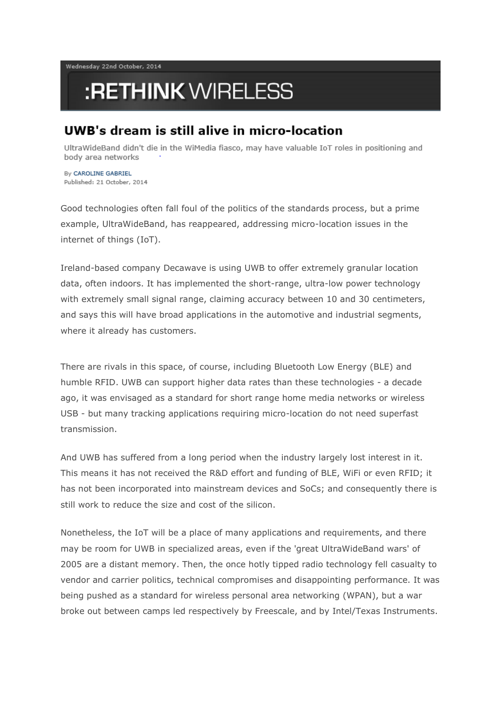Wednesday 22nd October, 2014

## :RETHINK WIRELESS

## UWB's dream is still alive in micro-location

UltraWideBand didn't die in the WiMedia fiasco, may have valuable IoT roles in positioning and body area networks

By CAROLINE GABRIEL Published: 21 October, 2014

Good technologies often fall foul of the politics of the standards process, but a prime example, UltraWideBand, has reappeared, addressing micro-location issues in the internet of things (IoT).

Ireland-based company Decawave is using UWB to offer extremely granular location data, often indoors. It has implemented the short-range, ultra-low power technology with extremely small signal range, claiming accuracy between 10 and 30 centimeters, and says this will have broad applications in the automotive and industrial segments, where it already has customers.

There are rivals in this space, of course, including Bluetooth Low Energy (BLE) and humble RFID. UWB can support higher data rates than these technologies - a decade ago, it was envisaged as a standard for short range home media networks or wireless USB - but many tracking applications requiring micro-location do not need superfast transmission.

And UWB has suffered from a long period when the industry largely lost interest in it. This means it has not received the R&D effort and funding of BLE, WiFi or even RFID; it has not been incorporated into mainstream devices and SoCs; and consequently there is still work to reduce the size and cost of the silicon.

Nonetheless, the IoT will be a place of many applications and requirements, and there may be room for UWB in specialized areas, even if the 'great UltraWideBand wars' of 2005 are a distant memory. Then, the once hotly tipped radio technology fell casualty to vendor and carrier politics, technical compromises and disappointing performance. It was being pushed as a standard for wireless personal area networking (WPAN), but a war broke out between camps led respectively by Freescale, and by Intel/Texas Instruments.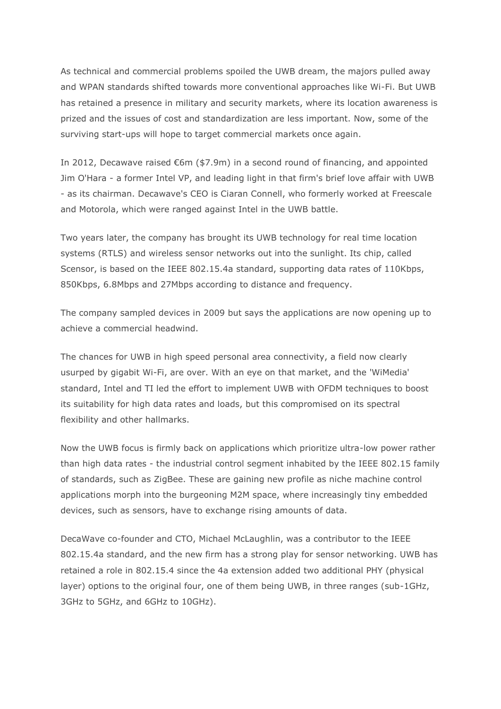As technical and commercial problems spoiled the UWB dream, the majors pulled away and WPAN standards shifted towards more conventional approaches like Wi-Fi. But UWB has retained a presence in military and security markets, where its location awareness is prized and the issues of cost and standardization are less important. Now, some of the surviving start-ups will hope to target commercial markets once again.

In 2012, Decawave raised €6m (\$7.9m) in a second round of financing, and appointed Jim O'Hara - a former Intel VP, and leading light in that firm's brief love affair with UWB - as its chairman. Decawave's CEO is Ciaran Connell, who formerly worked at Freescale and Motorola, which were ranged against Intel in the UWB battle.

Two years later, the company has brought its UWB technology for real time location systems (RTLS) and wireless sensor networks out into the sunlight. Its chip, called Scensor, is based on the IEEE 802.15.4a standard, supporting data rates of 110Kbps, 850Kbps, 6.8Mbps and 27Mbps according to distance and frequency.

The company sampled devices in 2009 but says the applications are now opening up to achieve a commercial headwind.

The chances for UWB in high speed personal area connectivity, a field now clearly usurped by gigabit Wi-Fi, are over. With an eye on that market, and the 'WiMedia' standard, Intel and TI led the effort to implement UWB with OFDM techniques to boost its suitability for high data rates and loads, but this compromised on its spectral flexibility and other hallmarks.

Now the UWB focus is firmly back on applications which prioritize ultra-low power rather than high data rates - the industrial control segment inhabited by the IEEE 802.15 family of standards, such as ZigBee. These are gaining new profile as niche machine control applications morph into the burgeoning M2M space, where increasingly tiny embedded devices, such as sensors, have to exchange rising amounts of data.

DecaWave co-founder and CTO, Michael McLaughlin, was a contributor to the IEEE 802.15.4a standard, and the new firm has a strong play for sensor networking. UWB has retained a role in 802.15.4 since the 4a extension added two additional PHY (physical layer) options to the original four, one of them being UWB, in three ranges (sub-1GHz, 3GHz to 5GHz, and 6GHz to 10GHz).